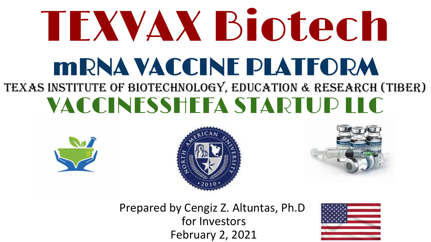# mRNA VACCINE PLATFORM TEXAS INSTITUTE OF BIOTECHNOLOGY, education & research (TIBER) VACCINESSHEFA STARTUP LLC TEXVAX Biotech







Prepared by Cengiz Z. Altuntas, Ph.D for Investors February 2, 2021

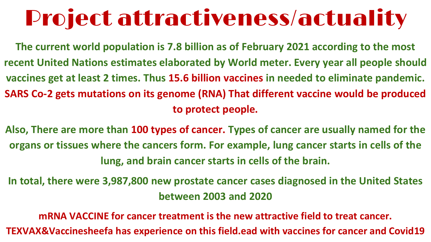# Project attractiveness/actuality

**The current world population is 7.8 billion as of February 2021 according to the most recent United Nations estimates elaborated by World meter. Every year all people should vaccines get at least 2 times. Thus 15.6 billion vaccines in needed to eliminate pandemic. SARS Co-2 gets mutations on its genome (RNA) That different vaccine would be produced to protect people.** 

**Also, There are more than 100 types of cancer. Types of cancer are usually named for the organs or tissues where the cancers form. For example, lung cancer starts in cells of the lung, and brain cancer starts in cells of the brain.**

**In total, there were 3,987,800 new prostate cancer cases diagnosed in the United States between 2003 and 2020**

**mRNA VACCINE for cancer treatment is the new attractive field to treat cancer. TEXVAX&Vaccinesheefa has experience on this field.ead with vaccines for cancer and Covid19**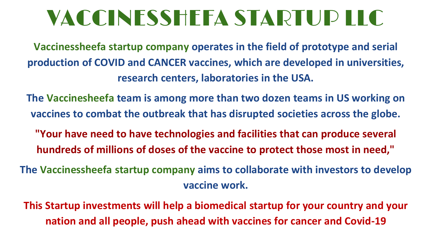# VACCINESSHEFA STARTUP LLC

**Vaccinessheefa startup company operates in the field of prototype and serial production of COVID and CANCER vaccines, which are developed in universities, research centers, laboratories in the USA.**

**The Vaccinesheefa team is among more than two dozen teams in US working on vaccines to combat the outbreak that has disrupted societies across the globe.**

**"Your have need to have technologies and facilities that can produce several hundreds of millions of doses of the vaccine to protect those most in need,"**

**The Vaccinessheefa startup company aims to collaborate with investors to develop vaccine work.**

**This Startup investments will help a biomedical startup for your country and your nation and all people, push ahead with vaccines for cancer and Covid-19**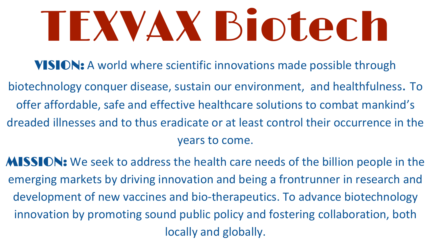# TEXVAX Biotech

- VISION: A world where scientific innovations made possible through
- biotechnology conquer disease, sustain our environment, and healthfulness. To offer affordable, safe and effective healthcare solutions to combat mankind's dreaded illnesses and to thus eradicate or at least control their occurrence in the years to come.
- MISSION: We seek to address the health care needs of the billion people in the emerging markets by driving innovation and being a frontrunner in research and development of new vaccines and bio-therapeutics. To advance biotechnology innovation by promoting sound public policy and fostering collaboration, both locally and globally.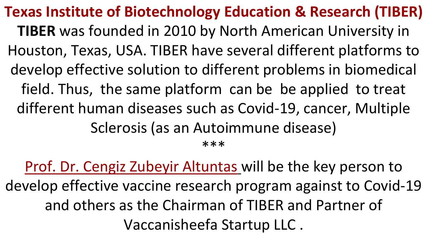**Texas Institute of Biotechnology Education & Research (TIBER) TIBER** was founded in 2010 by North American University in Houston, Texas, USA. TIBER have several different platforms to develop effective solution to different problems in biomedical field. Thus, the same platform can be be applied to treat different human diseases such as Covid-19, cancer, Multiple Sclerosis (as an Autoimmune disease) \*\*\*

Prof. Dr. Cengiz Zubeyir Altuntas will be the key person to develop effective vaccine research program against to Covid-19 and others as the Chairman of TIBER and Partner of Vaccanisheefa Startup LLC .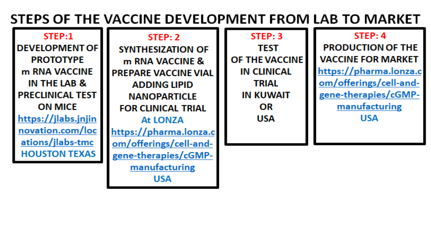### STEPS OF THE VACCINE DEVELOPMENT FROM LAB TO MARKET

STEP:1 **DEVELOPMENT OF I PROTOTYPE** m RNA VACCINE IN THE LAB & **PRECLINICAL TEST ON MICE** https://jlabs.jnjin novation.com/loc ations/jlabs-tmc **HOUSTON TEXAS** 

 $STEP: 2$ **SYNTHESIZATION OF** m RNA VACCINE & **PREPARE VACCINE VIAL ADDING LIPID NANOPARTICLE FOR CLINICAL TRIAL** At LONZA https://pharma.lonza.c om/offerings/cell-andgene-therapies/cGMPmanufacturing **USA** 

 $STEP:3$ **TEST OF THE VACCINE IN CLINICAL TRIAL IN KUWAIT** OR **USA** 

#### $STEP: 4$

**PRODUCTION OF THE VACCINE FOR MARKET** https://pharma.lonza.c om/offerings/cell-andgene-therapies/cGMPmanufacturing **USA**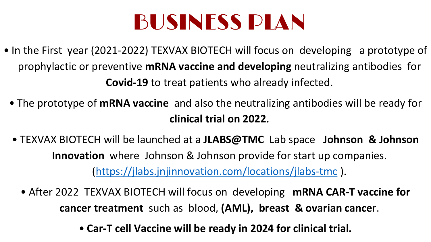# BUSINESS PLAN

- In the First year (2021-2022) TEXVAX BIOTECH will focus on developing a prototype of prophylactic or preventive **mRNA vaccine and developing** neutralizing antibodies for **Covid-19** to treat patients who already infected.
	- The prototype of **mRNA vaccine** and also the neutralizing antibodies will be ready for **clinical trial on 2022.**
	- TEXVAX BIOTECH will be launched at a **JLABS@TMC** Lab space **Johnson & Johnson Innovation** where Johnson & Johnson provide for start up companies. [\(https://jlabs.jnjinnovation.com/locations/jlabs-tmc](https://jlabs.jnjinnovation.com/locations/jlabs-tmc) ).
		- After 2022 TEXVAX BIOTECH will focus on developing **mRNA CAR-T vaccine for cancer treatment** such as blood, **(AML), breast & ovarian cance**r.
			- **Car-T cell Vaccine will be ready in 2024 for clinical trial.**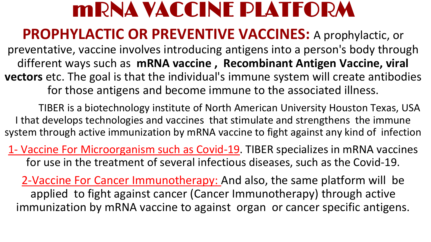### mRNA VACCINE PLATFORM

### **PROPHYLACTIC OR PREVENTIVE VACCINES:** A prophylactic, or

preventative, vaccine involves introducing antigens into a person's body through different ways such as **mRNA vaccine , Recombinant Antigen Vaccine, viral vectors** etc. The goal is that the individual's immune system will create antibodies for those antigens and become immune to the associated illness.

TIBER is a biotechnology institute of North American University Houston Texas, USA I that develops technologies and vaccines that stimulate and strengthens the immune system through active immunization by mRNA vaccine to fight against any kind of infection

1- Vaccine For Microorganism such as Covid-19. TIBER specializes in mRNA vaccines for use in the treatment of several infectious diseases, such as the Covid-19.

2-Vaccine For Cancer Immunotherapy: And also, the same platform will be applied to fight against cancer (Cancer Immunotherapy) through active immunization by mRNA vaccine to against organ or cancer specific antigens.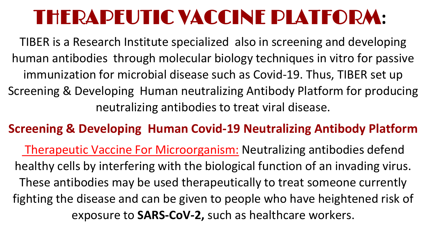## THERAPEUTIC VACCINE PLATFORM**:**

TIBER is a Research Institute specialized also in screening and developing human antibodies through molecular biology techniques in vitro for passive immunization for microbial disease such as Covid-19. Thus, TIBER set up Screening & Developing Human neutralizing Antibody Platform for producing neutralizing antibodies to treat viral disease.

### **Screening & Developing Human Covid-19 Neutralizing Antibody Platform**

Therapeutic Vaccine For Microorganism: Neutralizing antibodies defend healthy cells by interfering with the biological function of an invading virus. These antibodies may be used therapeutically to treat someone currently fighting the disease and can be given to people who have heightened risk of exposure to **SARS-CoV-2,** such as healthcare workers.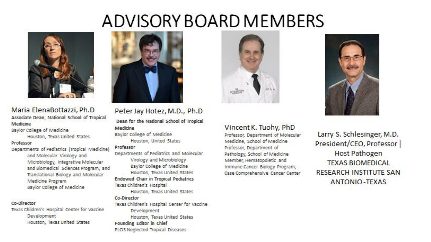### ADVISORY BOARD MEMBERS



#### Maria ElenaBottazzi, Ph.D Associate Dean, National School of Tropical Medicine

Baylor College of Medicine Houston, Texas United States

#### Professor

Departments of Pediatrics (Tropical Medicine) and Molecular Virology and Microbiology, Integrative Molecular and Biomedical Sciences Program, and Translational Biology and Molecular Medicine Program Baylor College of Medicine

#### Co-Director

Texas Children's Hospital Center for Vaccine Development Houston, Texas United States



Peter Jay Hotez, M.D., Ph.D

Dean for the National School of Tropical Medicine

Baylor College of Medicine Houston, United States

#### Professor

Departments of Pediatrics and Molecular Virology and Microbiology Baylor College of Medicine Houston, Texas United States **Endowed Chair in Tropical Pediatrics** Texas Children's Hospital

Houston, Texas United States Co-Director

Texas Children's Hospital Center for Vaccine Development Houston, Texas United States Founding Editor in Chief PLOS Neglected Tropical Diseases



#### Vincent K. Tuohy, PhD

Professor, Department of Molecular Medicine, School of Medicine Professor, Department of Pathology, School of Medicine Member, Hematopoietic and Immune Cancer Biology Program, Case Comprehensive Cancer Center



Larry S. Schlesinger, M.D. President/CEO, Professor | Host Pathogen **TEXAS BIOMEDICAL RESEARCH INSTITUTE SAN ANTONIO-TEXAS**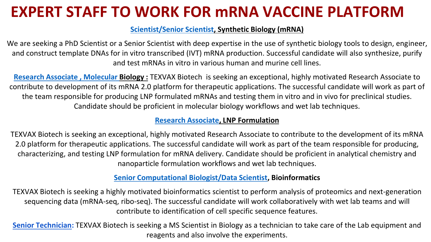### **EXPERT STAFF TO WORK FOR mRNA VACCINE PLATFORM**

#### **[Scientist/Senior Scientist](https://boards.greenhouse.io/kernalbio/jobs/4220452003), Synthetic Biology (mRNA)**

We are seeking a PhD Scientist or a Senior Scientist with deep expertise in the use of synthetic biology tools to design, engineer, and construct template DNAs for in vitro transcribed (IVT) mRNA production. Successful candidate will also synthesize, purify and test mRNAs in vitro in various human and murine cell lines.

**[Research Associate , Molecular](https://boards.greenhouse.io/kernalbio/jobs/4223536003) Biology :** TEXVAX Biotech is seeking an exceptional, highly motivated Research Associate to contribute to development of its mRNA 2.0 platform for therapeutic applications. The successful candidate will work as part of the team responsible for producing LNP formulated mRNAs and testing them in vitro and in vivo for preclinical studies. Candidate should be proficient in molecular biology workflows and wet lab techniques.

#### **[Research Associate](https://boards.greenhouse.io/kernalbio/jobs/4351451003), LNP Formulation**

TEXVAX Biotech is seeking an exceptional, highly motivated Research Associate to contribute to the development of its mRNA 2.0 platform for therapeutic applications. The successful candidate will work as part of the team responsible for producing, characterizing, and testing LNP formulation for mRNA delivery. Candidate should be proficient in analytical chemistry and nanoparticle formulation workflows and wet lab techniques.

#### **[Senior Computational Biologist/Data Scientist,](https://boards.greenhouse.io/kernalbio/jobs/4220453003) Bioinformatics**

TEXVAX Biotech is seeking a highly motivated bioinformatics scientist to perform analysis of proteomics and next-generation sequencing data (mRNA-seq, ribo-seq). The successful candidate will work collaboratively with wet lab teams and will contribute to identification of cell specific sequence features.

**Senior Technician:** TEXVAX Biotech is seeking a MS Scientist in Biology as a technician to take care of the Lab equipment and reagents and also involve the experiments.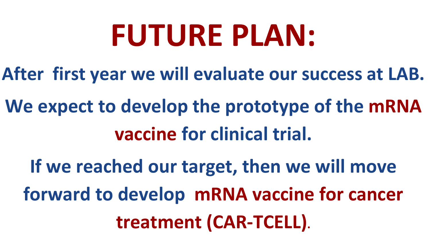# **FUTURE PLAN:**

- **After first year we will evaluate our success at LAB.**
- **We expect to develop the prototype of the mRNA vaccine for clinical trial.** 
	- **If we reached our target, then we will move forward to develop mRNA vaccine for cancer treatment (CAR-TCELL).**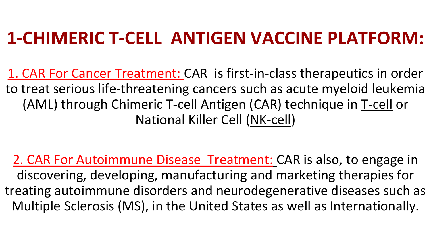### **1-CHIMERIC T-CELL ANTIGEN VACCINE PLATFORM:**

1. CAR For Cancer Treatment: CAR is first-in-class therapeutics in order to treat serious life-threatening cancers such as acute myeloid leukemia (AML) through Chimeric T-cell Antigen (CAR) technique in T-cell or National Killer Cell (NK-cell)

2. CAR For Autoimmune Disease Treatment: CAR is also, to engage in discovering, developing, manufacturing and marketing therapies for treating autoimmune disorders and neurodegenerative diseases such as Multiple Sclerosis (MS), in the United States as well as Internationally.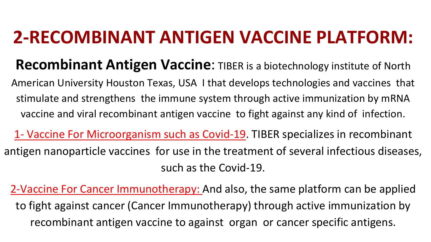### **2-RECOMBINANT ANTIGEN VACCINE PLATFORM:**

- **Recombinant Antigen Vaccine:** TIBER is a biotechnology institute of North American University Houston Texas, USA I that develops technologies and vaccines that stimulate and strengthens the immune system through active immunization by mRNA
- vaccine and viral recombinant antigen vaccine to fight against any kind of infection.
- 1- Vaccine For Microorganism such as Covid-19. TIBER specializes in recombinant antigen nanoparticle vaccines for use in the treatment of several infectious diseases, such as the Covid-19.
	- 2-Vaccine For Cancer Immunotherapy: And also, the same platform can be applied to fight against cancer (Cancer Immunotherapy) through active immunization by recombinant antigen vaccine to against organ or cancer specific antigens.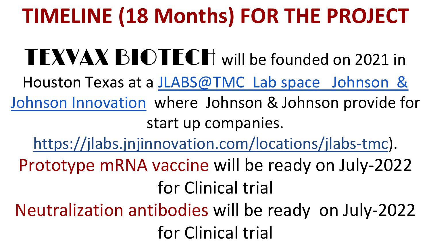# **TIMELINE (18 Months) FOR THE PROJECT**

TEXVAX BIOTECH will be founded on 2021 in [Houston Texas at a JLABS@TMC Lab space Johnson &](https://jlabs.jnjinnovation.com/locations/jlabs-tmc)  Johnson Innovation where Johnson & Johnson provide for start up companies. <https://jlabs.jnjinnovation.com/locations/jlabs-tmc>). Prototype mRNA vaccine will be ready on July-2022 for Clinical trial Neutralization antibodies will be ready on July-2022

for Clinical trial